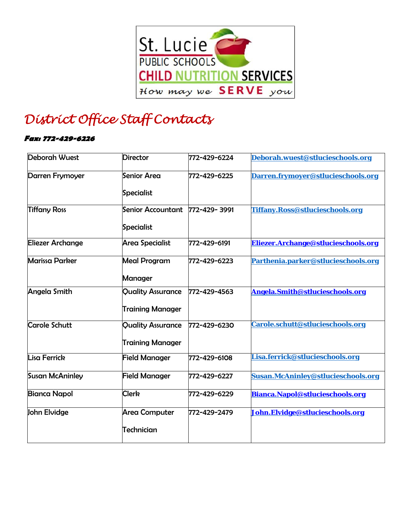

## *District Office Staff Contacts*

## **Fax: 772-429-6226**

| <b>Deborah Wuest</b>    | <b>Director</b>                                     | 772-429-6224 | Deborah.wuest@stlucieschools.org    |
|-------------------------|-----------------------------------------------------|--------------|-------------------------------------|
| Darren Frymoyer         | Senior Area<br>Specialist                           | 772-429-6225 | Darren.frymoyer@stlucieschools.org  |
| <b>Tiffany Ross</b>     | Senior Accountant<br>Specialist                     | 772-429-3991 | Tiffany.Ross@stlucieschools.org     |
| <b>Eliezer Archange</b> | Area Specialist                                     | 772-429-6191 | Eliezer.Archange@stlucieschools.org |
| <b>Marissa Parker</b>   | <b>Meal Program</b><br>Manager                      | 772-429-6223 | Parthenia.parker@stlucieschools.org |
| Angela Smith            | <b>Quality Assurance</b><br><b>Training Manager</b> | 772-429-4563 | Angela.Smith@stlucieschools.org     |
| <b>Carole Schutt</b>    | <b>Quality Assurance</b><br><b>Training Manager</b> | 772-429-6230 | Carole.schutt@stlucieschools.org    |
| Lisa Ferrick            | <b>Field Manager</b>                                | 772-429-6108 | Lisa.ferrick@stlucieschools.org     |
| <b>Susan McAninley</b>  | <b>Field Manager</b>                                | 772-429-6227 | Susan.McAninley@stlucieschools.org  |
| <b>Bianca Napol</b>     | <b>Clerk</b>                                        | 772-429-6229 | Bianca.Napol@stlucieschools.org     |
| John Elvidge            | Area Computer<br>Technician                         | 772-429-2479 | John.Elvidge@stlucieschools.org     |